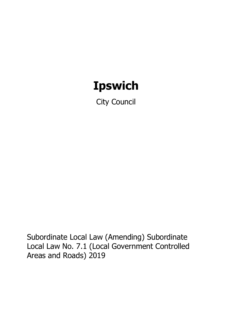# **Ipswich**

City Council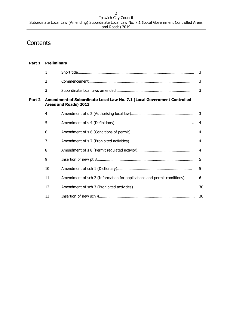# **Contents**

| Part 1 | <b>Preliminary</b> |                                                                                                  |                |
|--------|--------------------|--------------------------------------------------------------------------------------------------|----------------|
|        | $\mathbf{1}$       |                                                                                                  | 3              |
|        | $\overline{2}$     |                                                                                                  | 3              |
|        | 3                  |                                                                                                  | $\overline{3}$ |
| Part 2 |                    | Amendment of Subordinate Local Law No. 7.1 (Local Government Controlled<br>Areas and Roads) 2013 |                |
|        | $\overline{4}$     |                                                                                                  |                |
|        | 5                  |                                                                                                  | $\overline{4}$ |
|        | 6                  |                                                                                                  | $\overline{4}$ |
|        | 7                  |                                                                                                  | $\overline{4}$ |
|        | 8                  |                                                                                                  | $\overline{4}$ |
|        | 9                  |                                                                                                  | 5              |
|        | 10                 |                                                                                                  | 5              |
|        | 11                 | Amendment of sch 2 (Information for applications and permit conditions)                          | 6              |
|        | 12                 |                                                                                                  | 30             |
|        | 13                 |                                                                                                  | 30             |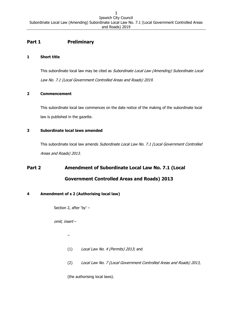# **Part 1 Preliminary**

#### <span id="page-2-0"></span>**1 Short title**

This subordinate local law may be cited as Subordinate Local Law (Amending) Subordinate Local Law No. 7.1 (Local Government Controlled Areas and Roads) 2019.

## <span id="page-2-1"></span>**2 Commencement**

This subordinate local law commences on the date notice of the making of the subordinate local law is published in the gazette.

## <span id="page-2-2"></span>**3 Subordinate local laws amended**

This subordinate local law amends Subordinate Local Law No. 7.1 (Local Government Controlled Areas and Roads) 2013.

# **Part 2 Amendment of Subordinate Local Law No. 7.1 (Local Government Controlled Areas and Roads) 2013**

## <span id="page-2-3"></span>**4 Amendment of s 2 (Authorising local law)**

Section 2, after 'by' –

omit, insert –

–

- (1) Local Law No. 4 (Permits) 2013; and
- (2) Local Law No. 7 (Local Government Controlled Areas and Roads) 2013,

(the authorising local laws).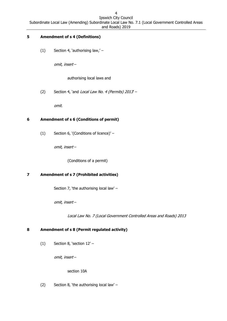# <span id="page-3-0"></span>**5 Amendment of s 4 (Definitions)**

(1) Section 4, 'authorising law,' –

omit, insert –

authorising local laws and

(2) Section 4, `and Local Law No. 4 (Permits)  $2013 -$ 

omit.

# <span id="page-3-1"></span>**6 Amendment of s 6 (Conditions of permit)**

(1) Section 6, '(Conditions of licence)' –

omit, insert –

(Conditions of a permit)

## <span id="page-3-2"></span>**7 Amendment of s 7 (Prohibited activities)**

Section 7, 'the authorising local law' –

omit, insert –

Local Law No. 7 (Local Government Controlled Areas and Roads) 2013

## <span id="page-3-3"></span>**8 Amendment of s 8 (Permit regulated activity)**

(1) Section 8, 'section 12' –

omit, insert –

section 10A

(2) Section 8, 'the authorising local law' –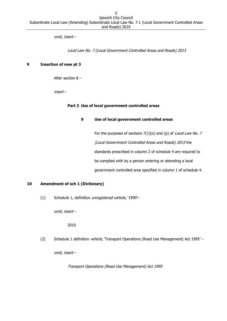omit, insert –

Local Law No. 7 (Local Government Controlled Areas and Roads) 2013

#### <span id="page-4-0"></span>**9 Insertion of new pt 3**

After section 8 –

insert –

#### **Part 3 Use of local government controlled areas**

#### **9 Use of local government controlled areas**

For the purposes of sections  $7(1)(o)$  and (p) of Local Law No. 7 (Local Government Controlled Areas and Roads) 2013 the standards prescribed in column 2 of schedule 4 are required to be complied with by a person entering or attending a local government controlled area specified in column 1 of schedule 4.

#### <span id="page-4-1"></span>**10 Amendment of sch 1 (Dictionary)**

(1) Schedule 1, definition unregistered vehicle, '1999'–

omit, insert –

2010

(2) Schedule 1 definition vehicle, 'Transport Operations (Road Use Management) Act 1995' -

omit, insert –

Transport Operations (Road Use Management) Act 1995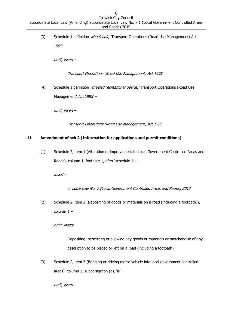(3) Schedule 1 definition wheelchair, 'Transport Operations (Road Use Management) Act 1995' –

omit, insert –

Transport Operations (Road Use Management) Act 1995

(4) Schedule 1 definition *wheeled recreational device*, 'Transport Operations (Road Use Management) Act 1995' –

omit, insert –

Transport Operations (Road Use Management) Act 1995

#### <span id="page-5-0"></span>**11 Amendment of sch 2 (Information for applications and permit conditions)**

(1) Schedule 2, item 1 (Alteration or improvement to Local Government Controlled Areas and Roads), column 1, footnote 1, after 'schedule 1' –

insert –

of Local Law No. 7 (Local Government Controlled Areas and Roads) 2013.

(2) Schedule 2, item 2 (Depositing of goods or materials on a road (including a footpath)), column 1 –

omit, insert –

Depositing, permitting or allowing any goods or materials or merchandise of any description to be placed or left on a road (including a footpath)

(3) Schedule 2, item 3 (Bringing or driving motor vehicle into local government controlled areas), column 3, subparagraph (a), 'is' -

omit, insert –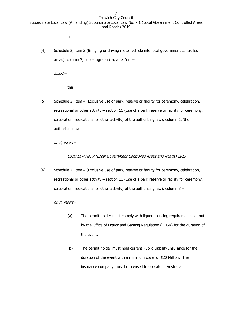be

(4) Schedule 2, item 3 (Bringing or driving motor vehicle into local government controlled areas), column 3, subparagraph (b), after 'on' –

insert –

the

(5) Schedule 2, item 4 (Exclusive use of park, reserve or facility for ceremony, celebration, recreational or other activity – section 11 (Use of a park reserve or facility for ceremony, celebration, recreational or other activity) of the authorising law), column 1, 'the authorising law' –

omit, insert –

Local Law No. 7 (Local Government Controlled Areas and Roads) 2013

(6) Schedule 2, item 4 (Exclusive use of park, reserve or facility for ceremony, celebration, recreational or other activity – section 11 (Use of a park reserve or facility for ceremony, celebration, recreational or other activity) of the authorising law), column  $3 -$ 

omit, insert –

- (a) The permit holder must comply with liquor licencing requirements set out by the Office of Liquor and Gaming Regulation (OLGR) for the duration of the event.
- (b) The permit holder must hold current Public Liability Insurance for the duration of the event with a minimum cover of \$20 Million. The insurance company must be licensed to operate in Australia.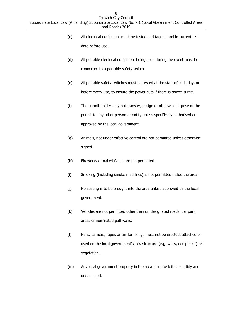- (c) All electrical equipment must be tested and tagged and in current test date before use.
- (d) All portable electrical equipment being used during the event must be connected to a portable safety switch.
- (e) All portable safety switches must be tested at the start of each day, or before every use, to ensure the power cuts if there is power surge.
- (f) The permit holder may not transfer, assign or otherwise dispose of the permit to any other person or entity unless specifically authorised or approved by the local government.
- (g) Animals, not under effective control are not permitted unless otherwise signed.
- (h) Fireworks or naked flame are not permitted.
- (i) Smoking (including smoke machines) is not permitted inside the area.
- (j) No seating is to be brought into the area unless approved by the local government.
- (k) Vehicles are not permitted other than on designated roads, car park areas or nominated pathways.
- (l) Nails, barriers, ropes or similar fixings must not be erected, attached or used on the local government's infrastructure (e.g. walls, equipment) or vegetation.
- (m) Any local government property in the area must be left clean, tidy and undamaged.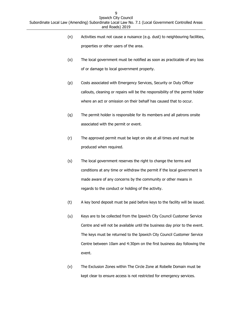- (n) Activities must not cause a nuisance (e.g. dust) to neighbouring facilities, properties or other users of the area.
- (o) The local government must be notified as soon as practicable of any loss of or damage to local government property.
- (p) Costs associated with Emergency Services, Security or Duty Officer callouts, cleaning or repairs will be the responsibility of the permit holder where an act or omission on their behalf has caused that to occur.
- (q) The permit holder is responsible for its members and all patrons onsite associated with the permit or event.
- (r) The approved permit must be kept on site at all times and must be produced when required.
- (s) The local government reserves the right to change the terms and conditions at any time or withdraw the permit if the local government is made aware of any concerns by the community or other means in regards to the conduct or holding of the activity.
- (t) A key bond deposit must be paid before keys to the facility will be issued.
- (u) Keys are to be collected from the Ipswich City Council Customer Service Centre and will not be available until the business day prior to the event. The keys must be returned to the Ipswich City Council Customer Service Centre between 10am and 4:30pm on the first business day following the event.
- (v) The Exclusion Zones within The Circle Zone at Robelle Domain must be kept clear to ensure access is not restricted for emergency services.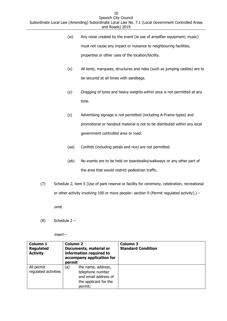- (w) Any noise created by the event (ie use of amplifier equipment; music) must not cause any impact or nuisance to neighbouring facilities, properties or other uses of the location/facility.
- (x) All tents, marquees, structures and rides (such as jumping castles) are to be secured at all times with sandbags.
- (y) Dragging of tyres and heavy weights within area is not permitted at any time.
- (z) Advertising signage is not permitted (including A-Frame types) and promotional or handout material is not to be distributed within any local government controlled area or road.
- (aa) Confetti (including petals and rice) are not permitted.
- (ab) No events are to be held on boardwalks/walkways or any other part of the area that would restrict pedestrian traffic.
- (7) Schedule 2, item 5 (Use of park reserve or facility for ceremony, celebration, recreational or other activity involving 100 or more people– section 9 (Permit regulated activity).) –

omit.

(8) Schedule 2 –

insert –

| <b>Column 1</b><br><b>Column 2</b><br><b>Regulated</b><br>Documents, material or<br>information required to<br><b>Activity</b><br>accompany application for<br>permit |                                                                                                           | <b>Column 3</b><br><b>Standard Condition</b> |
|-----------------------------------------------------------------------------------------------------------------------------------------------------------------------|-----------------------------------------------------------------------------------------------------------|----------------------------------------------|
| All permit<br>regulated activities                                                                                                                                    | the name, address,<br>(a)<br>telephone number<br>and email address of<br>the applicant for the<br>permit; |                                              |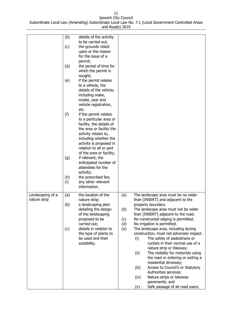|                  | (b) | details of the activity                          |     |       |                                                                             |
|------------------|-----|--------------------------------------------------|-----|-------|-----------------------------------------------------------------------------|
|                  |     | to be carried out;                               |     |       |                                                                             |
|                  | (c) | the grounds relied                               |     |       |                                                                             |
|                  |     | upon or the reason                               |     |       |                                                                             |
|                  |     | for the issue of a                               |     |       |                                                                             |
|                  |     | permit;                                          |     |       |                                                                             |
|                  | (d) | the period of time for                           |     |       |                                                                             |
|                  |     | which the permit is                              |     |       |                                                                             |
|                  | (e) | sought;<br>if the permit relates                 |     |       |                                                                             |
|                  |     | to a vehicle, the                                |     |       |                                                                             |
|                  |     | details of the vehicle,                          |     |       |                                                                             |
|                  |     | including make,                                  |     |       |                                                                             |
|                  |     | model, year and                                  |     |       |                                                                             |
|                  |     | vehicle registration,                            |     |       |                                                                             |
|                  |     | etc.                                             |     |       |                                                                             |
|                  | (f) | if the permit relates<br>to a particular area or |     |       |                                                                             |
|                  |     | facility, the details of                         |     |       |                                                                             |
|                  |     | the area or facility the                         |     |       |                                                                             |
|                  |     | activity relates to,                             |     |       |                                                                             |
|                  |     | including whether the                            |     |       |                                                                             |
|                  |     | activity is proposed in                          |     |       |                                                                             |
|                  |     | relation to all or part                          |     |       |                                                                             |
|                  |     | of the area or facility;                         |     |       |                                                                             |
|                  | (g) | if relevant, the<br>anticipated number of        |     |       |                                                                             |
|                  |     | attendees for the                                |     |       |                                                                             |
|                  |     | activity;                                        |     |       |                                                                             |
|                  | (h) | the prescribed fee;                              |     |       |                                                                             |
|                  | (i) | any other relevant                               |     |       |                                                                             |
|                  |     | information.                                     |     |       |                                                                             |
| Landscaping of a | (a) | the location of the                              | (a) |       | The landscape area must be no wider                                         |
| nature strip     |     | nature strip;                                    |     |       | than [INSERT] and adjacent to the                                           |
|                  | (b) | a landscaping plan                               |     |       | property boundary.                                                          |
|                  |     | detailing the design<br>of the landscaping       | (b) |       | The landscape area must not be wider<br>than [INSERT] adjacent to the road. |
|                  |     | proposed to be                                   | (c) |       | No constructed edging is permitted.                                         |
|                  |     | carried out;                                     | (d) |       | No irrigation is permitted.                                                 |
|                  | (c) | details in relation to                           | (e) |       | The landscape area, including during                                        |
|                  |     | the type of plants to                            |     |       | construction, must not adversely impact:                                    |
|                  |     | be used and their                                |     | (i)   | The safety of pedestrians or                                                |
|                  |     | suitability.                                     |     |       | cyclists in their normal use of a<br>nature strip or bikeway;               |
|                  |     |                                                  |     | (ii)  | The visibility for motorists using                                          |
|                  |     |                                                  |     |       | the road or entering or exiting a                                           |
|                  |     |                                                  |     |       | residential driveway;                                                       |
|                  |     |                                                  |     | (iii) | Access to Council's or Statutory                                            |
|                  |     |                                                  |     |       |                                                                             |
|                  |     |                                                  |     |       | Authorities services;                                                       |
|                  |     |                                                  |     | (iv)  | Nature strips or bikeway<br>pavements; and                                  |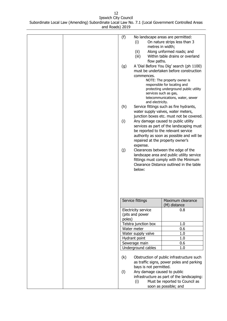| (f)<br>(g)<br>(h)<br>(i)<br>(j) | (i)<br>metres in width;<br>(ii)<br>(iii)<br>flow paths.<br>commences.<br>and electricity.<br>repaired at the property owner's<br>expense.<br>below: | No landscape areas are permitted:<br>On nature strips less than 3<br>Along unformed roads; and<br>Within table drains or overland<br>A 'Dial Before You Dig' search (ph 1100)<br>must be undertaken before construction<br>NOTE: The property owner is<br>responsible for locating and<br>protecting underground public utility<br>services such as gas,<br>telecommunications, water, sewer<br>Service fittings such as fire hydrants,<br>water supply valves, water meters,<br>junction boxes etc. must not be covered.<br>Any damage caused to public utility<br>services as part of the landscaping must<br>be reported to the relevant service<br>authority as soon as possible and will be<br>Clearances between the edge of the<br>landscape area and public utility service<br>fittings must comply with the Minimum<br>Clearance Distance outlined in the table |
|---------------------------------|-----------------------------------------------------------------------------------------------------------------------------------------------------|--------------------------------------------------------------------------------------------------------------------------------------------------------------------------------------------------------------------------------------------------------------------------------------------------------------------------------------------------------------------------------------------------------------------------------------------------------------------------------------------------------------------------------------------------------------------------------------------------------------------------------------------------------------------------------------------------------------------------------------------------------------------------------------------------------------------------------------------------------------------------|
|                                 | Service fittings                                                                                                                                    | Maximum clearance                                                                                                                                                                                                                                                                                                                                                                                                                                                                                                                                                                                                                                                                                                                                                                                                                                                        |
|                                 |                                                                                                                                                     | (M) distance                                                                                                                                                                                                                                                                                                                                                                                                                                                                                                                                                                                                                                                                                                                                                                                                                                                             |
|                                 | <b>Electricity service</b>                                                                                                                          | 0.8                                                                                                                                                                                                                                                                                                                                                                                                                                                                                                                                                                                                                                                                                                                                                                                                                                                                      |
|                                 | (pits and power                                                                                                                                     |                                                                                                                                                                                                                                                                                                                                                                                                                                                                                                                                                                                                                                                                                                                                                                                                                                                                          |
| poles)                          | Telstra junction box                                                                                                                                |                                                                                                                                                                                                                                                                                                                                                                                                                                                                                                                                                                                                                                                                                                                                                                                                                                                                          |
|                                 | Water meter                                                                                                                                         | 1.0<br>0.6                                                                                                                                                                                                                                                                                                                                                                                                                                                                                                                                                                                                                                                                                                                                                                                                                                                               |
|                                 | Water supply valve                                                                                                                                  | 1.0                                                                                                                                                                                                                                                                                                                                                                                                                                                                                                                                                                                                                                                                                                                                                                                                                                                                      |
|                                 | Hydrant point                                                                                                                                       | 1.0                                                                                                                                                                                                                                                                                                                                                                                                                                                                                                                                                                                                                                                                                                                                                                                                                                                                      |
|                                 | Sewerage main                                                                                                                                       | 0.6                                                                                                                                                                                                                                                                                                                                                                                                                                                                                                                                                                                                                                                                                                                                                                                                                                                                      |
|                                 | Underground cables                                                                                                                                  | 1.0                                                                                                                                                                                                                                                                                                                                                                                                                                                                                                                                                                                                                                                                                                                                                                                                                                                                      |
| (k)<br>(1)                      | bays is not permitted.<br>Any damage caused to public<br>(i)                                                                                        | Obstruction of public infrastructure such<br>as traffic signs, power poles and parking<br>infrastructure as part of the landscaping:<br>Must be reported to Council as                                                                                                                                                                                                                                                                                                                                                                                                                                                                                                                                                                                                                                                                                                   |
|                                 |                                                                                                                                                     | soon as possible; and                                                                                                                                                                                                                                                                                                                                                                                                                                                                                                                                                                                                                                                                                                                                                                                                                                                    |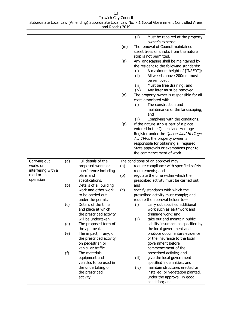|                    |     |                                        |     | (ii)  | Must be repaired at the property                              |
|--------------------|-----|----------------------------------------|-----|-------|---------------------------------------------------------------|
|                    |     |                                        |     |       | owner's expense.                                              |
|                    |     |                                        | (m) |       | The removal of Council maintained                             |
|                    |     |                                        |     |       | street trees or shrubs from the nature                        |
|                    |     |                                        |     |       | strip is not permitted.                                       |
|                    |     |                                        | (n) |       | Any landscaping shall be maintained by                        |
|                    |     |                                        |     |       | the resident to the following standards:                      |
|                    |     |                                        |     | (i)   | A maximum height of [INSERT];                                 |
|                    |     |                                        |     | (ii)  | All weeds above 200mm must                                    |
|                    |     |                                        |     |       | be removed;                                                   |
|                    |     |                                        |     | (iii) | Must be free draining; and                                    |
|                    |     |                                        |     | (iv)  | Any litter must be removed.                                   |
|                    |     |                                        | (o) |       | The property owner is responsible for all                     |
|                    |     |                                        |     |       | costs associated with:                                        |
|                    |     |                                        |     | (i)   | The construction and                                          |
|                    |     |                                        |     |       | maintenance of the landscaping;                               |
|                    |     |                                        |     |       | and                                                           |
|                    |     |                                        |     | (ii)  | Complying with the conditions.                                |
|                    |     |                                        | (p) |       | If the nature strip is part of a place                        |
|                    |     |                                        |     |       | entered in the Queensland Heritage                            |
|                    |     |                                        |     |       | Register under the Queensland Heritage                        |
|                    |     |                                        |     |       | Act 1992, the property owner is                               |
|                    |     |                                        |     |       | responsible for obtaining all required                        |
|                    |     |                                        |     |       | State approvals or exemptions prior to                        |
|                    |     |                                        |     |       | the commencement of work.                                     |
|                    |     |                                        |     |       |                                                               |
|                    |     |                                        |     |       |                                                               |
| Carrying out       | (a) | Full details of the                    |     |       | The conditions of an approval may-                            |
| works or           |     | proposed works or                      | (a) |       | require compliance with specified safety                      |
| interfering with a |     | interference including                 |     |       | requirements; and                                             |
| road or its        |     | plans and                              | (b) |       | regulate the time within which the                            |
| operation          |     | specifications.                        |     |       | prescribed activity must be carried out;                      |
|                    | (b) | Details of all building                |     | and   |                                                               |
|                    |     | work and other work                    | (c) |       | specify standards with which the                              |
|                    |     | to be carried out                      |     |       | prescribed activity must comply; and                          |
|                    |     | under the permit.                      |     |       | require the approval holder to-                               |
|                    | (c) | Details of the time                    |     |       | carry out specified additional                                |
|                    |     | and place at which                     |     | (i)   | work such as earthwork and                                    |
|                    |     | the prescribed activity                |     |       | drainage work; and                                            |
|                    |     | will be undertaken.                    |     | (ii)  | take out and maintain public                                  |
|                    |     |                                        |     |       | liability insurance as specified by                           |
|                    | (d) | The proposed term of                   |     |       |                                                               |
|                    |     | the approval.                          |     |       | the local government and                                      |
|                    | (e) | The impact, if any, of                 |     |       | produce documentary evidence<br>of the insurance to the local |
|                    |     | the prescribed activity                |     |       | government before                                             |
|                    |     | on pedestrian or<br>vehicular traffic. |     |       | commencement of the                                           |
|                    |     |                                        |     |       |                                                               |
|                    | (f) | The materials,                         |     |       | prescribed activity; and                                      |
|                    |     | equipment and                          |     | (iii) | give the local government                                     |
|                    |     | vehicles to be used in                 |     |       | specified indemnities; and                                    |
|                    |     | the undertaking of                     |     | (iv)  | maintain structures erected or                                |
|                    |     | the prescribed                         |     |       | installed, or vegetation planted,                             |
|                    |     |                                        |     |       |                                                               |
|                    |     |                                        |     |       |                                                               |
|                    |     |                                        |     |       |                                                               |
|                    |     |                                        |     |       |                                                               |
|                    |     |                                        |     |       |                                                               |
|                    |     |                                        |     |       |                                                               |
|                    |     | activity.                              |     |       | under the approval, in good                                   |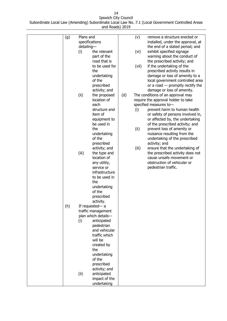|     | Plans and      |                                      |     |       | remove a structure erected or                                 |
|-----|----------------|--------------------------------------|-----|-------|---------------------------------------------------------------|
| (g) | specifications |                                      |     | (v)   | installed, under the approval, at                             |
|     | detailing-     |                                      |     |       | the end of a stated period; and                               |
|     | (i)            | the relevant                         |     | (vi)  | exhibit specified signage                                     |
|     |                | part of the                          |     |       | warning about the conduct of                                  |
|     |                | road that is                         |     |       | the prescribed activity; and                                  |
|     |                | to be used for                       |     | (vii) | if the undertaking of the                                     |
|     |                | the                                  |     |       | prescribed activity results in                                |
|     |                | undertaking                          |     |       | damage or loss of amenity to a                                |
|     |                | of the                               |     |       | local government controlled area                              |
|     |                | prescribed                           |     |       | or a road $-$ promptly rectify the                            |
|     |                | activity; and                        |     |       | damage or loss of amenity.                                    |
|     | (ii)           | the proposed                         | (d) |       | The conditions of an approval may                             |
|     |                | location of                          |     |       | require the approval holder to take                           |
|     |                | each                                 |     |       | specified measures to-                                        |
|     |                | structure and                        |     | (i)   | prevent harm to human health                                  |
|     |                | item of                              |     |       | or safety of persons involved in,                             |
|     |                | equipment to                         |     |       | or affected by, the undertaking                               |
|     |                | be used in<br>the                    |     |       | of the prescribed activity; and<br>prevent loss of amenity or |
|     |                | undertaking                          |     | (ii)  | nuisance resulting from the                                   |
|     |                | of the                               |     |       | undertaking of the prescribed                                 |
|     |                | prescribed                           |     |       | activity; and                                                 |
|     |                | activity; and                        |     | (iii) | ensure that the undertaking of                                |
|     | (iii)          | the type and                         |     |       | the prescribed activity does not                              |
|     |                | location of                          |     |       | cause unsafe movement or                                      |
|     |                | any utility,                         |     |       | obstruction of vehicular or                                   |
|     |                | service or                           |     |       | pedestrian traffic.                                           |
|     |                | infrastructure                       |     |       |                                                               |
|     |                | to be used in                        |     |       |                                                               |
|     |                | the                                  |     |       |                                                               |
|     |                | undertaking                          |     |       |                                                               |
|     |                | of the                               |     |       |                                                               |
|     |                | prescribed                           |     |       |                                                               |
|     |                | activity.                            |     |       |                                                               |
| (h) |                | If requested-a<br>traffic management |     |       |                                                               |
|     |                | plan which details-                  |     |       |                                                               |
|     | (i)            | anticipated                          |     |       |                                                               |
|     |                | pedestrian                           |     |       |                                                               |
|     |                | and vehicular                        |     |       |                                                               |
|     |                | traffic which                        |     |       |                                                               |
|     |                | will be                              |     |       |                                                               |
|     |                | created by                           |     |       |                                                               |
|     |                | the                                  |     |       |                                                               |
|     |                | undertaking                          |     |       |                                                               |
|     |                | of the                               |     |       |                                                               |
|     |                | prescribed                           |     |       |                                                               |
|     |                | activity; and                        |     |       |                                                               |
|     | (ii)           | anticipated                          |     |       |                                                               |
|     |                | impact of the                        |     |       |                                                               |
|     |                | undertaking                          |     |       |                                                               |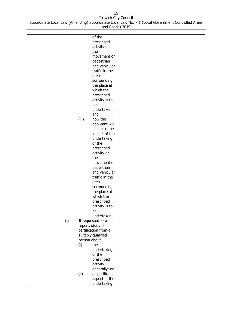|     |       | of the               |  |
|-----|-------|----------------------|--|
|     |       | prescribed           |  |
|     |       | activity on          |  |
|     |       |                      |  |
|     |       | the                  |  |
|     |       | movement of          |  |
|     |       | pedestrian           |  |
|     |       | and vehicular        |  |
|     |       |                      |  |
|     |       | traffic in the       |  |
|     |       | area                 |  |
|     |       | surrounding          |  |
|     |       | the place at         |  |
|     |       |                      |  |
|     |       | which the            |  |
|     |       | prescribed           |  |
|     |       | activity is to       |  |
|     |       | be                   |  |
|     |       |                      |  |
|     |       | undertaken;          |  |
|     |       | and                  |  |
|     | (iii) | how the              |  |
|     |       | applicant will       |  |
|     |       | minimise the         |  |
|     |       |                      |  |
|     |       | impact of the        |  |
|     |       | undertaking          |  |
|     |       | of the               |  |
|     |       | prescribed           |  |
|     |       |                      |  |
|     |       | activity on          |  |
|     |       | the                  |  |
|     |       | movement of          |  |
|     |       | pedestrian           |  |
|     |       | and vehicular        |  |
|     |       |                      |  |
|     |       | traffic in the       |  |
|     |       | area                 |  |
|     |       | surrounding          |  |
|     |       | the place at         |  |
|     |       | which the            |  |
|     |       |                      |  |
|     |       | prescribed           |  |
|     |       | activity is to       |  |
|     |       | be                   |  |
|     |       | undertaken.          |  |
| (i) |       | If requested $-$ a   |  |
|     |       |                      |  |
|     |       | report, study or     |  |
|     |       | certification from a |  |
|     |       | suitably qualified   |  |
|     |       | person about -       |  |
|     |       | the                  |  |
|     | (i)   |                      |  |
|     |       | undertaking          |  |
|     |       | of the               |  |
|     |       | prescribed           |  |
|     |       | activity             |  |
|     |       |                      |  |
|     |       | generally; or        |  |
|     | (ii)  | a specific           |  |
|     |       | aspect of the        |  |
|     |       | undertaking          |  |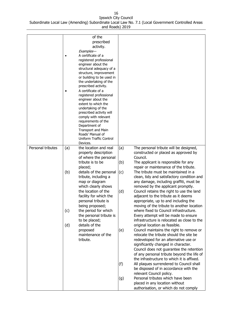| Personal tributes | (a) | of the<br>prescribed<br>activity.<br>Examples-<br>A certificate of a<br>registered professional<br>engineer about the<br>structural adequacy of a<br>structure, improvement<br>or building to be used in<br>the undertaking of the<br>prescribed activity.<br>A certificate of a<br>registered professional<br>engineer about the<br>extent to which the<br>undertaking of the<br>prescribed activity will<br>comply with relevant<br>requirements of the<br>Department of<br>Transport and Main<br>Roads' Manual of<br>Uniform Traffic Control<br>Devices.<br>the location and real | (a) | The personal tribute will be designed,                                              |
|-------------------|-----|--------------------------------------------------------------------------------------------------------------------------------------------------------------------------------------------------------------------------------------------------------------------------------------------------------------------------------------------------------------------------------------------------------------------------------------------------------------------------------------------------------------------------------------------------------------------------------------|-----|-------------------------------------------------------------------------------------|
|                   |     | property description                                                                                                                                                                                                                                                                                                                                                                                                                                                                                                                                                                 |     | constructed or placed as approved by                                                |
|                   |     | of where the personal<br>tribute is to be                                                                                                                                                                                                                                                                                                                                                                                                                                                                                                                                            | (b) | Council.<br>The applicant is responsible for any                                    |
|                   |     | placed;                                                                                                                                                                                                                                                                                                                                                                                                                                                                                                                                                                              |     | repair or maintenance of the tribute.                                               |
|                   | (b) | details of the personal                                                                                                                                                                                                                                                                                                                                                                                                                                                                                                                                                              | (c) | The tribute must be maintained in a                                                 |
|                   |     | tribute, including a                                                                                                                                                                                                                                                                                                                                                                                                                                                                                                                                                                 |     | clean, tidy and satisfactory condition and                                          |
|                   |     | map or diagram                                                                                                                                                                                                                                                                                                                                                                                                                                                                                                                                                                       |     | any damage, including graffiti, must be                                             |
|                   |     | which clearly shows                                                                                                                                                                                                                                                                                                                                                                                                                                                                                                                                                                  |     | removed by the applicant promptly.                                                  |
|                   |     | the location of the<br>facility for which the                                                                                                                                                                                                                                                                                                                                                                                                                                                                                                                                        | (d) | Council retains the right to use the land<br>adjacent to the tribute as it deems    |
|                   |     | personal tribute is                                                                                                                                                                                                                                                                                                                                                                                                                                                                                                                                                                  |     | appropriate, up to and including the                                                |
|                   |     | being proposed;                                                                                                                                                                                                                                                                                                                                                                                                                                                                                                                                                                      |     | moving of the tribute to another location                                           |
|                   | (c) | the period for which                                                                                                                                                                                                                                                                                                                                                                                                                                                                                                                                                                 |     | where fixed to Council infrastructure.                                              |
|                   |     | the personal tribute is<br>to be placed;                                                                                                                                                                                                                                                                                                                                                                                                                                                                                                                                             |     | Every attempt will be made to ensure<br>infrastructure is relocated as close to the |
|                   | (d) | details of the                                                                                                                                                                                                                                                                                                                                                                                                                                                                                                                                                                       |     | original location as feasible.                                                      |
|                   |     | proposed                                                                                                                                                                                                                                                                                                                                                                                                                                                                                                                                                                             | (e) | Council maintains the right to remove or                                            |
|                   |     | maintenance of the                                                                                                                                                                                                                                                                                                                                                                                                                                                                                                                                                                   |     | relocate the tribute should the site be                                             |
|                   |     | tribute.                                                                                                                                                                                                                                                                                                                                                                                                                                                                                                                                                                             |     | redeveloped for an alternative use or<br>significantly changed in character.        |
|                   |     |                                                                                                                                                                                                                                                                                                                                                                                                                                                                                                                                                                                      |     | Council does not guarantee the retention                                            |
|                   |     |                                                                                                                                                                                                                                                                                                                                                                                                                                                                                                                                                                                      |     | of any personal tribute beyond the life of                                          |
|                   |     |                                                                                                                                                                                                                                                                                                                                                                                                                                                                                                                                                                                      |     | the infrastructure to which it is affixed.                                          |
|                   |     |                                                                                                                                                                                                                                                                                                                                                                                                                                                                                                                                                                                      | (f) | All plaques surrendered to Council shall                                            |
|                   |     |                                                                                                                                                                                                                                                                                                                                                                                                                                                                                                                                                                                      |     | be disposed of in accordance with the<br>relevant Council policy.                   |
|                   |     |                                                                                                                                                                                                                                                                                                                                                                                                                                                                                                                                                                                      | (g) | Personal tributes which have been                                                   |
|                   |     |                                                                                                                                                                                                                                                                                                                                                                                                                                                                                                                                                                                      |     | placed in any location without                                                      |
|                   |     |                                                                                                                                                                                                                                                                                                                                                                                                                                                                                                                                                                                      |     | authorisation, or which do not comply                                               |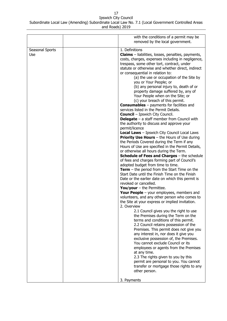|                        | with the conditions of a permit may be<br>removed by the local government.                                                                                                                                                                                                                                                                                                                                                                                                                                                                                                                                                                                                                                                                                                                                                                                                                                                                                                                                                                                                                                                                                                                                                                                                                                                                                                                                                                                                                                                                                                                                                                                                                                                                                                                                                                                                                                                                                                                                                                                                                                           |
|------------------------|----------------------------------------------------------------------------------------------------------------------------------------------------------------------------------------------------------------------------------------------------------------------------------------------------------------------------------------------------------------------------------------------------------------------------------------------------------------------------------------------------------------------------------------------------------------------------------------------------------------------------------------------------------------------------------------------------------------------------------------------------------------------------------------------------------------------------------------------------------------------------------------------------------------------------------------------------------------------------------------------------------------------------------------------------------------------------------------------------------------------------------------------------------------------------------------------------------------------------------------------------------------------------------------------------------------------------------------------------------------------------------------------------------------------------------------------------------------------------------------------------------------------------------------------------------------------------------------------------------------------------------------------------------------------------------------------------------------------------------------------------------------------------------------------------------------------------------------------------------------------------------------------------------------------------------------------------------------------------------------------------------------------------------------------------------------------------------------------------------------------|
| Seasonal Sports<br>Use | 1. Definitions<br><b>Claims</b> – liabilities, losses, penalties, payments,<br>costs, charges, expenses including in negligence,<br>trespass, some other tort, contract, under<br>statute or otherwise and whether direct, indirect<br>or consequential in relation to:<br>(a) the use or occupation of the Site by<br>you or Your People; or<br>(b) any personal injury to, death of or<br>property damage suffered by, any of<br>Your People when on the Site; or<br>(c) your breach of this permit.<br><b>Consumables</b> $-$ payments for facilities and<br>services listed in the Permit Details.<br><b>Council</b> - Ipswich City Council.<br><b>Delegate</b> $-$ a staff member from Council with<br>the authority to discuss and approve your<br>permit/licence<br><b>Local Laws</b> - Ipswich City Council Local Laws<br><b>Priority Use Hours</b> $-$ the Hours of Use during<br>the Periods Covered during the Term if any<br>Hours of Use are specified in the Permit Details,<br>or otherwise all hours during the Term.<br><b>Schedule of Fees and Charges - the schedule</b><br>of fees and charges forming part of Council's<br>adopted budget from time to time.<br><b>Term</b> – the period from the Start Time on the<br>Start Date until the Finish Time on the Finish<br>Date or the earlier date on which this permit is<br>revoked or cancelled.<br>You/your $-$ the Permittee.<br>Your People $-$ your employees, members and<br>volunteers, and any other person who comes to<br>the Site at your express or implied invitation.<br>2. Overview<br>2.1 Council gives you the right to use<br>the Premises during the Term on the<br>terms and conditions of this permit.<br>2.2 Council retains possession of the<br>Premises. This permit does not give you<br>any interest in, nor does it give you<br>exclusive possession of, the Premises.<br>You cannot exclude Council or its<br>employees or agents from the Premises<br>at any time.<br>2.3 The rights given to you by this<br>permit are personal to you. You cannot<br>transfer or mortgage those rights to any<br>other person. |
|                        | 3. Payments                                                                                                                                                                                                                                                                                                                                                                                                                                                                                                                                                                                                                                                                                                                                                                                                                                                                                                                                                                                                                                                                                                                                                                                                                                                                                                                                                                                                                                                                                                                                                                                                                                                                                                                                                                                                                                                                                                                                                                                                                                                                                                          |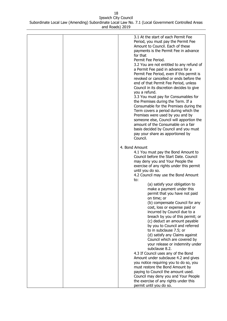| 3.1 At the start of each Permit Fee<br>Period, you must pay the Permit Fee<br>Amount to Council. Each of these<br>payments is the Permit Fee in advance<br>for that<br>Permit Fee Period.<br>3.2 You are not entitled to any refund of<br>a Permit Fee paid in advance for a<br>Permit Fee Period, even if this permit is<br>revoked or cancelled or ends before the<br>end of that Permit Fee Period, unless<br>Council in its discretion decides to give<br>you a refund.<br>3.3 You must pay for Consumables for<br>the Premises during the Term. If a<br>Consumable for the Premises during the<br>Term covers a period during which the<br>Premises were used by you and by<br>someone else, Council will apportion the<br>amount of the Consumable on a fair<br>basis decided by Council and you must<br>pay your share as apportioned by<br>Council. |
|-------------------------------------------------------------------------------------------------------------------------------------------------------------------------------------------------------------------------------------------------------------------------------------------------------------------------------------------------------------------------------------------------------------------------------------------------------------------------------------------------------------------------------------------------------------------------------------------------------------------------------------------------------------------------------------------------------------------------------------------------------------------------------------------------------------------------------------------------------------|
| 4. Bond Amount                                                                                                                                                                                                                                                                                                                                                                                                                                                                                                                                                                                                                                                                                                                                                                                                                                              |
| 4.1 You must pay the Bond Amount to<br>Council before the Start Date. Council<br>may deny you and Your People the<br>exercise of any rights under this permit<br>until you do so.<br>4.2 Council may use the Bond Amount<br>to:<br>(a) satisfy your obligation to<br>make a payment under this<br>permit that you have not paid<br>on time; or<br>(b) compensate Council for any<br>cost, loss or expense paid or<br>incurred by Council due to a<br>breach by you of this permit; or<br>(c) deduct an amount payable<br>by you to Council and referred<br>to in subclause 7.5; or<br>(d) satisfy any Claims against<br>Council which are covered by                                                                                                                                                                                                        |
| your release or indemnity under                                                                                                                                                                                                                                                                                                                                                                                                                                                                                                                                                                                                                                                                                                                                                                                                                             |
| subclause 8.2.                                                                                                                                                                                                                                                                                                                                                                                                                                                                                                                                                                                                                                                                                                                                                                                                                                              |
| 4.3 If Council uses any of the Bond                                                                                                                                                                                                                                                                                                                                                                                                                                                                                                                                                                                                                                                                                                                                                                                                                         |
| Amount under subclause 4.2 and gives                                                                                                                                                                                                                                                                                                                                                                                                                                                                                                                                                                                                                                                                                                                                                                                                                        |
| you notice requiring you to do so, you                                                                                                                                                                                                                                                                                                                                                                                                                                                                                                                                                                                                                                                                                                                                                                                                                      |
| must restore the Bond Amount by                                                                                                                                                                                                                                                                                                                                                                                                                                                                                                                                                                                                                                                                                                                                                                                                                             |
| paying to Council the amount used.                                                                                                                                                                                                                                                                                                                                                                                                                                                                                                                                                                                                                                                                                                                                                                                                                          |
| Council may deny you and Your People<br>the exercise of any rights under this                                                                                                                                                                                                                                                                                                                                                                                                                                                                                                                                                                                                                                                                                                                                                                               |
| permit until you do so.                                                                                                                                                                                                                                                                                                                                                                                                                                                                                                                                                                                                                                                                                                                                                                                                                                     |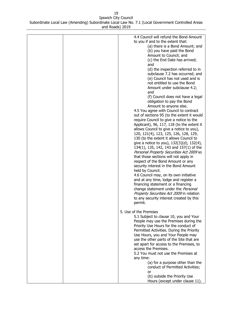| 4.4 Council will refund the Bond Amount<br>to you if and to the extent that:<br>(a) there is a Bond Amount; and<br>(b) you have paid the Bond<br>Amount to Council; and<br>(c) the End Date has arrived;<br>and<br>(d) the inspection referred to in<br>subclause 7.2 has occurred; and<br>(e) Council has not used and is<br>not entitled to use the Bond<br>Amount under subclause 4.2;<br>and<br>(f) Council does not have a legal<br>obligation to pay the Bond<br>Amount to anyone else.<br>4.5 You agree with Council to contract<br>out of sections 95 (to the extent it would<br>require Council to give a notice to the<br>Applicant), 96, 117, 118 (to the extent it<br>allows Council to give a notice to you),<br>120, 121(4), 123, 125, 126, 128, 129,<br>130 (to the extent it allows Council to<br>give a notice to you), 132(3)(d), 132(4),<br>134(1), 135, 142, 143 and 157(1) of the<br>Personal Property Securities Act 2009 so<br>that those sections will not apply in<br>respect of the Bond Amount or any<br>security interest in the Bond Amount<br>held by Council.<br>4.6 Council may, on its own initiative<br>and at any time, lodge and register a<br>financing statement or a financing |
|-----------------------------------------------------------------------------------------------------------------------------------------------------------------------------------------------------------------------------------------------------------------------------------------------------------------------------------------------------------------------------------------------------------------------------------------------------------------------------------------------------------------------------------------------------------------------------------------------------------------------------------------------------------------------------------------------------------------------------------------------------------------------------------------------------------------------------------------------------------------------------------------------------------------------------------------------------------------------------------------------------------------------------------------------------------------------------------------------------------------------------------------------------------------------------------------------------------------------|
| change statement under the Personal<br>Property Securities Act 2009 in relation<br>to any security interest created by this<br>permit.                                                                                                                                                                                                                                                                                                                                                                                                                                                                                                                                                                                                                                                                                                                                                                                                                                                                                                                                                                                                                                                                                |
| 5. Use of the Premises<br>5.1 Subject to clause 10, you and Your<br>People may use the Premises during the<br>Priority Use Hours for the conduct of<br>Permitted Activities. During the Priority<br>Use Hours, you and Your People may<br>use the other parts of the Site that are<br>set apart for access to the Premises, to<br>access the Premises.<br>5.2 You must not use the Premises at<br>any time:<br>(a) for a purpose other than the                                                                                                                                                                                                                                                                                                                                                                                                                                                                                                                                                                                                                                                                                                                                                                       |
| conduct of Permitted Activities;<br>or<br>(b) outside the Priority Use<br>Hours (except under clause 11).                                                                                                                                                                                                                                                                                                                                                                                                                                                                                                                                                                                                                                                                                                                                                                                                                                                                                                                                                                                                                                                                                                             |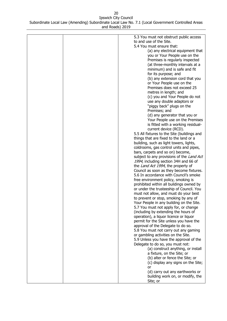| 5.3 You must not obstruct public access     |
|---------------------------------------------|
| to and use of the Site.                     |
| 5.4 You must ensure that:                   |
| (a) any electrical equipment that           |
| you or Your People use on the               |
|                                             |
| Premises is regularly inspected             |
| (at three-monthly intervals at a            |
| minimum) and is safe and fit                |
| for its purpose; and                        |
| (b) any extension cord that you             |
| or Your People use on the                   |
| Premises does not exceed 25                 |
| metres in length; and                       |
| (c) you and Your People do not              |
|                                             |
| use any double adaptors or                  |
| "piggy back" plugs on the                   |
| Premises; and                               |
| (d) any generator that you or               |
| Your People use on the Premises             |
| is fitted with a working residual-          |
| current device (RCD).                       |
| 5.5 All fixtures to the Site (buildings and |
| things that are fixed to the land or a      |
| building, such as light towers, lights,     |
| coldrooms, gas control units and pipes,     |
|                                             |
| bars, carpets and so on) become,            |
| subject to any provisions of the Land Act   |
| 1994, including section 34H and 66 of       |
| the Land Act 1994, the property of          |
| Council as soon as they become fixtures.    |
| 5.6 In accordance with Council's smoke      |
| free environment policy, smoking is         |
| prohibited within all buildings owned by    |
| or under the trusteeship of Council. You    |
| must not allow, and must do your best       |
| to prevent or stop, smoking by any of       |
|                                             |
| Your People in any building on the Site.    |
| 5.7 You must not apply for, or change       |
| (including by extending the hours of        |
| operation), a liquor licence or liquor      |
| permit for the Site unless you have the     |
| approval of the Delegate to do so.          |
| 5.8 You must not carry out any gaming       |
| or gambling activities on the Site.         |
| 5.9 Unless you have the approval of the     |
| Delegate to do so, you must not:            |
|                                             |
| (a) construct anything, or install          |
| a fixture, on the Site; or                  |
| (b) alter or fence the Site; or             |
| (c) display any signs on the Site;          |
| or                                          |
| (d) carry out any earthworks or             |
| building work on, or modify, the            |
| Site; or                                    |
|                                             |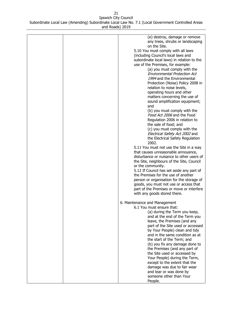| (e) destroy, damage or remove<br>any trees, shrubs or landscaping |
|-------------------------------------------------------------------|
|                                                                   |
| on the Site.                                                      |
| 5.10 You must comply with all laws                                |
| (including Council's local laws and                               |
| subordinate local laws) in relation to the                        |
| use of the Premises, for example:                                 |
| (a) you must comply with the                                      |
| <b>Environmental Protection Act</b>                               |
| 1994 and the Environmental                                        |
| Protection (Noise) Policy 2008 in                                 |
| relation to noise levels,                                         |
| operating hours and other                                         |
| matters concerning the use of                                     |
| sound amplification equipment;                                    |
| and                                                               |
| (b) you must comply with the                                      |
| Food Act 2006 and the Food                                        |
| Regulation 2006 in relation to                                    |
| the sale of food; and                                             |
| (c) you must comply with the                                      |
| Electrical Safety Act 2002 and                                    |
| the Electrical Safety Regulation                                  |
| 2002.                                                             |
| 5.11 You must not use the Site in a way                           |
| that causes unreasonable annoyance,                               |
| disturbance or nuisance to other users of                         |
| the Site, neighbours of the Site, Council                         |
| or the community.                                                 |
| 5.12 If Council has set aside any part of                         |
| the Premises for the use of another                               |
| person or organisation for the storage of                         |
| goods, you must not use or access that                            |
| part of the Premises or move or interfere                         |
| with any goods stored there.                                      |
|                                                                   |
| 6. Maintenance and Management                                     |
| 6.1 You must ensure that:                                         |
| (a) during the Term you keep,                                     |
| and at the end of the Term you                                    |
| leave, the Premises (and any                                      |
| part of the Site used or accessed                                 |
| by Your People) clean and tidy                                    |
| and in the same condition as at                                   |
| the start of the Term; and                                        |
| (b) you fix any damage done to                                    |
| the Premises (and any part of                                     |
| the Site used or accessed by                                      |
| Your People) during the Term,                                     |
| except to the extent that the                                     |
| damage was due to fair wear                                       |
| and tear or was done by                                           |
| someone other than Your                                           |
| People.                                                           |
|                                                                   |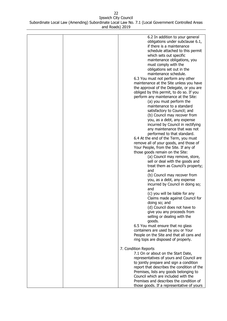| 6.2 In addition to your general            |
|--------------------------------------------|
| obligations under subclause 6.1,           |
| if there is a maintenance                  |
| schedule attached to this permit           |
| which sets out specific                    |
|                                            |
| maintenance obligations, you               |
| must comply with the                       |
| obligations set out in the                 |
| maintenance schedule.                      |
| 6.3 You must not perform any other         |
| maintenance at the Site unless you have    |
| the approval of the Delegate, or you are   |
| obliged by this permit, to do so. If you   |
| perform any maintenance at the Site:       |
| (a) you must perform the                   |
| maintenance to a standard                  |
|                                            |
| satisfactory to Council; and               |
| (b) Council may recover from               |
| you, as a debt, any expense                |
| incurred by Council in rectifying          |
| any maintenance that was not               |
| performed to that standard.                |
| 6.4 At the end of the Term, you must       |
| remove all of your goods, and those of     |
| Your People, from the Site. If any of      |
| those goods remain on the Site:            |
| (a) Council may remove, store,             |
| sell or deal with the goods and            |
| treat them as Council's property;          |
|                                            |
| and                                        |
| (b) Council may recover from               |
| you, as a debt, any expense                |
| incurred by Council in doing so;           |
| and                                        |
| (c) you will be liable for any             |
| Claims made against Council for            |
| doing so; and                              |
| (d) Council does not have to               |
| give you any proceeds from                 |
| selling or dealing with the                |
| goods.                                     |
| 6.5 You must ensure that no glass          |
| containers are used by you or Your         |
|                                            |
| People on the Site and that all cans and   |
| ring tops are disposed of properly.        |
| 7. Condition Reports                       |
| 7.1 On or about on the Start Date,         |
|                                            |
| representatives of yours and Council are   |
| to jointly prepare and sign a condition    |
| report that describes the condition of the |
| Premises, lists any goods belonging to     |
| Council which are included with the        |
| Premises and describes the condition of    |
| those goods. If a representative of yours  |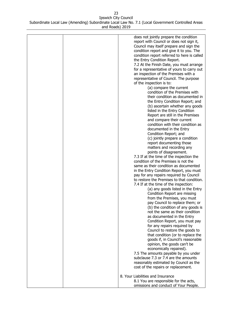| does not jointly prepare the condition      |
|---------------------------------------------|
| report with Council or does not sign it,    |
| Council may itself prepare and sign the     |
|                                             |
| condition report and give it to you. The    |
| condition report referred to here is called |
| the Entry Condition Report.                 |
| 7.2 At the Finish Date, you must arrange    |
| for a representative of yours to carry out  |
| an inspection of the Premises with a        |
|                                             |
| representative of Council. The purpose      |
| of the inspection is to:                    |
| (a) compare the current                     |
| condition of the Premises with              |
| their condition as documented in            |
| the Entry Condition Report; and             |
| (b) ascertain whether any goods             |
|                                             |
| listed in the Entry Condition               |
| Report are still in the Premises            |
| and compare their current                   |
| condition with their condition as           |
| documented in the Entry                     |
| Condition Report; and                       |
| (c) jointly prepare a condition             |
|                                             |
| report documenting those                    |
| matters and recording any                   |
| points of disagreement.                     |
| 7.3 If at the time of the inspection the    |
| condition of the Premises is not the        |
| same as their condition as documented       |
| in the Entry Condition Report, you must     |
| pay for any repairs required by Council     |
| to restore the Premises to that condition.  |
|                                             |
| 7.4 If at the time of the inspection:       |
| (a) any goods listed in the Entry           |
| Condition Report are missing                |
| from the Premises, you must                 |
| pay Council to replace them; or             |
| (b) the condition of any goods is           |
| not the same as their condition             |
| as documented in the Entry                  |
|                                             |
| Condition Report, you must pay              |
| for any repairs required by                 |
| Council to restore the goods to             |
| that condition (or to replace the           |
| goods if, in Council's reasonable           |
| opinion, the goods can't be                 |
| economically repaired).                     |
|                                             |
| 7.5 The amounts payable by you under        |
| subclause 7.3 or 7.4 are the amounts        |
| reasonably estimated by Council as the      |
| cost of the repairs or replacement.         |
|                                             |
| 8. Your Liabilities and Insurance           |
| 8.1 You are responsible for the acts,       |
| omissions and conduct of Your People.       |
|                                             |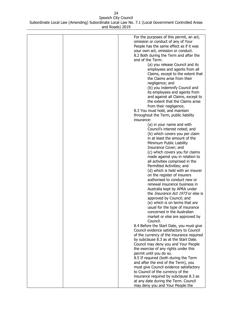| For the purposes of this permit, an act,            |
|-----------------------------------------------------|
| omission or conduct of any of Your                  |
| People has the same effect as if it was             |
| your own act, omission or conduct.                  |
| 8.2 Both during the Term and after the              |
| end of the Term:                                    |
| (a) you release Council and its                     |
| employees and agents from all                       |
| Claims, except to the extent that                   |
| the Claims arise from their                         |
| negligence; and                                     |
| (b) you indemnify Council and                       |
| its employees and agents from                       |
| and against all Claims, except to                   |
| the extent that the Claims arise                    |
| from their negligence.                              |
| 8.3 You must hold, and maintain                     |
|                                                     |
| throughout the Term, public liability<br>insurance: |
| (a) in your name and with                           |
| Council's interest noted; and                       |
| (b) which covers you per claim                      |
| in at least the amount of the                       |
| Minimum Public Liability                            |
| Insurance Cover; and                                |
| (c) which covers you for claims                     |
| made against you in relation to                     |
| all activities comprised in the                     |
| Permitted Activities; and                           |
| (d) which is held with an insurer                   |
| on the register of insurers                         |
| authorised to conduct new or                        |
| renewal insurance business in                       |
| Australia kept by APRA under                        |
| the <i>Insurance Act 1973</i> or else is            |
| approved by Council; and                            |
| (e) which is on terms that are                      |
| usual for the type of insurance                     |
| concerned in the Australian                         |
| market or else are approved by                      |
| Council.                                            |
| 8.4 Before the Start Date, you must give            |
| Council evidence satisfactory to Council            |
| of the currency of the insurance required           |
| by subclause 8.3 as at the Start Date.              |
| Council may deny you and Your People                |
| the exercise of any rights under this               |
| permit until you do so.                             |
| 8.5 If required (both during the Term               |
| and after the end of the Term), you                 |
| must give Council evidence satisfactory             |
| to Council of the currency of the                   |
| insurance required by subclause 8.3 as              |
| at any date during the Term. Council                |
| may deny you and Your People the                    |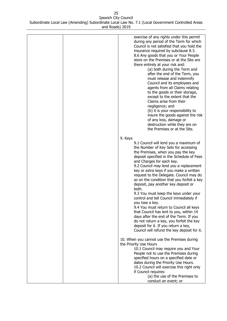| exercise of any rights under this permit<br>during any period of the Term for which<br>Council is not satisfied that you hold the<br>insurance required by subclause 8.3.<br>8.6 Any goods that you or Your People<br>store on the Premises or at the Site are<br>there entirely at your risk and:<br>(a) both during the Term and<br>after the end of the Term, you<br>must release and indemnify<br>Council and its employees and<br>agents from all Claims relating<br>to the goods or their storage,<br>except to the extent that the<br>Claims arise from their<br>negligence; and<br>(b) it is your responsibility to<br>insure the goods against the risk<br>of any loss, damage or<br>destruction while they are on<br>the Premises or at the Site.        |
|--------------------------------------------------------------------------------------------------------------------------------------------------------------------------------------------------------------------------------------------------------------------------------------------------------------------------------------------------------------------------------------------------------------------------------------------------------------------------------------------------------------------------------------------------------------------------------------------------------------------------------------------------------------------------------------------------------------------------------------------------------------------|
|                                                                                                                                                                                                                                                                                                                                                                                                                                                                                                                                                                                                                                                                                                                                                                    |
| 9. Keys<br>9.1 Council will lend you a maximum of<br>the Number of Key Sets for accessing<br>the Premises, when you pay the key<br>deposit specified in the Schedule of Fees<br>and Charges for each key.<br>9.2 Council may lend you a replacement<br>key or extra keys if you make a written<br>request to the Delegate. Council may do<br>so on the condition that you forfeit a key<br>deposit, pay another key deposit or<br>both.<br>9.3 You must keep the keys under your<br>control and tell Council immediately if<br>you lose a key.<br>9.4 You must return to Council all keys<br>that Council has lent to you, within 14<br>days after the end of the Term. If you<br>do not return a key, you forfeit the key<br>deposit for it. If you return a key, |
| Council will refund the key deposit for it.                                                                                                                                                                                                                                                                                                                                                                                                                                                                                                                                                                                                                                                                                                                        |
| 10. When you cannot use the Premises during<br>the Priority Use Hours<br>10.1 Council may require you and Your<br>People not to use the Premises during<br>specified hours on a specified date or<br>dates during the Priority Use Hours.<br>10.2 Council will exercise this right only<br>if Council requires:<br>(a) the use of the Premises to                                                                                                                                                                                                                                                                                                                                                                                                                  |
| conduct an event; or                                                                                                                                                                                                                                                                                                                                                                                                                                                                                                                                                                                                                                                                                                                                               |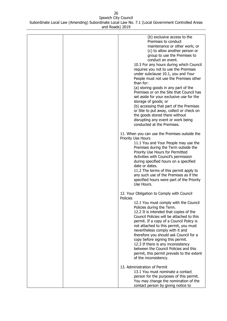| (b) exclusive access to the<br>Premises to conduct<br>maintenance or other work; or<br>(c) to allow another person or<br>group to use the Premises to<br>conduct an event.<br>10.3 For any hours during which Council<br>requires you not to use the Premises<br>under subclause 10.1, you and Your<br>People must not use the Premises other<br>than for:<br>(a) storing goods in any part of the<br>Premises or on the Site that Council has<br>set aside for your exclusive use for the<br>storage of goods; or<br>(b) accessing that part of the Premises<br>or Site to put away, collect or check on<br>the goods stored there without<br>disrupting any event or work being<br>conducted at the Premises. |
|-----------------------------------------------------------------------------------------------------------------------------------------------------------------------------------------------------------------------------------------------------------------------------------------------------------------------------------------------------------------------------------------------------------------------------------------------------------------------------------------------------------------------------------------------------------------------------------------------------------------------------------------------------------------------------------------------------------------|
| 11. When you can use the Premises outside the<br>Priority Use Hours<br>11.1 You and Your People may use the<br>Premises during the Term outside the<br>Priority Use Hours for Permitted<br>Activities with Council's permission<br>during specified hours on a specified<br>date or dates.<br>11.2 The terms of this permit apply to<br>any such use of the Premises as if the<br>specified hours were part of the Priority<br>Use Hours.                                                                                                                                                                                                                                                                       |
| 12. Your Obligation to Comply with Council<br>Policies<br>12.1 You must comply with the Council<br>Policies during the Term.<br>12.2 It is intended that copies of the<br>Council Policies will be attached to this<br>permit. If a copy of a Council Policy is<br>not attached to this permit, you must<br>nevertheless comply with it and<br>therefore you should ask Council for a<br>copy before signing this permit.<br>12.3 If there is any inconsistency<br>between the Council Policies and this<br>permit, this permit prevails to the extent<br>of the inconsistency.                                                                                                                                 |
| 13. Administration of Permit<br>13.1 You must nominate a contact<br>person for the purposes of this permit.<br>You may change the nomination of the<br>contact person by giving notice to                                                                                                                                                                                                                                                                                                                                                                                                                                                                                                                       |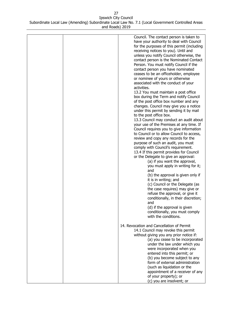| Council. The contact person is taken to<br>have your authority to deal with Council<br>for the purposes of this permit (including<br>receiving notices to you). Until and<br>unless you notify Council otherwise, the<br>contact person is the Nominated Contact<br>Person. You must notify Council if the<br>contact person you have nominated<br>ceases to be an officeholder, employee<br>or nominee of yours or otherwise<br>associated with the conduct of your<br>activities.<br>13.2 You must maintain a post office<br>box during the Term and notify Council<br>of the post office box number and any<br>changes. Council may give you a notice<br>under this permit by sending it by mail<br>to the post office box.<br>13.3 Council may conduct an audit about<br>your use of the Premises at any time. If<br>Council requires you to give information<br>to Council or to allow Council to access,<br>review and copy any records for the<br>purpose of such an audit, you must<br>comply with Council's requirement.<br>13.4 If this permit provides for Council<br>or the Delegate to give an approval:<br>(a) if you want the approval,<br>you must apply in writing for it;<br>and<br>(b) the approval is given only if<br>it is in writing; and<br>(c) Council or the Delegate (as<br>the case requires) may give or<br>refuse the approval, or give it<br>conditionally, in their discretion;<br>and<br>(d) if the approval is given<br>conditionally, you must comply<br>with the conditions.<br>14. Revocation and Cancellation of Permit<br>14.1 Council may revoke this permit<br>without giving you any prior notice if:<br>(a) you cease to be incorporated<br>under the law under which you<br>were incorporated when you<br>entered into this permit; or |
|------------------------------------------------------------------------------------------------------------------------------------------------------------------------------------------------------------------------------------------------------------------------------------------------------------------------------------------------------------------------------------------------------------------------------------------------------------------------------------------------------------------------------------------------------------------------------------------------------------------------------------------------------------------------------------------------------------------------------------------------------------------------------------------------------------------------------------------------------------------------------------------------------------------------------------------------------------------------------------------------------------------------------------------------------------------------------------------------------------------------------------------------------------------------------------------------------------------------------------------------------------------------------------------------------------------------------------------------------------------------------------------------------------------------------------------------------------------------------------------------------------------------------------------------------------------------------------------------------------------------------------------------------------------------------------------------------------------------------------------------------------------------------------|
|                                                                                                                                                                                                                                                                                                                                                                                                                                                                                                                                                                                                                                                                                                                                                                                                                                                                                                                                                                                                                                                                                                                                                                                                                                                                                                                                                                                                                                                                                                                                                                                                                                                                                                                                                                                    |
|                                                                                                                                                                                                                                                                                                                                                                                                                                                                                                                                                                                                                                                                                                                                                                                                                                                                                                                                                                                                                                                                                                                                                                                                                                                                                                                                                                                                                                                                                                                                                                                                                                                                                                                                                                                    |
| (b) you become subject to any                                                                                                                                                                                                                                                                                                                                                                                                                                                                                                                                                                                                                                                                                                                                                                                                                                                                                                                                                                                                                                                                                                                                                                                                                                                                                                                                                                                                                                                                                                                                                                                                                                                                                                                                                      |
| form of external administration                                                                                                                                                                                                                                                                                                                                                                                                                                                                                                                                                                                                                                                                                                                                                                                                                                                                                                                                                                                                                                                                                                                                                                                                                                                                                                                                                                                                                                                                                                                                                                                                                                                                                                                                                    |
| (such as liquidation or the<br>appointment of a receiver of any                                                                                                                                                                                                                                                                                                                                                                                                                                                                                                                                                                                                                                                                                                                                                                                                                                                                                                                                                                                                                                                                                                                                                                                                                                                                                                                                                                                                                                                                                                                                                                                                                                                                                                                    |
| of your property); or<br>(c) you are insolvent; or                                                                                                                                                                                                                                                                                                                                                                                                                                                                                                                                                                                                                                                                                                                                                                                                                                                                                                                                                                                                                                                                                                                                                                                                                                                                                                                                                                                                                                                                                                                                                                                                                                                                                                                                 |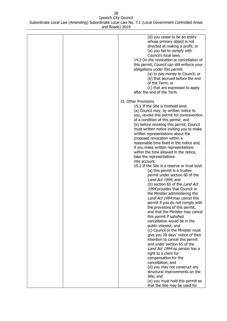| (d) you cease to be an entity<br>whose primary object is not<br>directed at making a profit; or<br>(e) you fail to comply with<br>Council's local laws.<br>14.2 On the revocation or cancellation of<br>this permit, Council can still enforce your<br>obligations under this permit:<br>(a) to pay money to Council; or<br>(b) that accrued before the end<br>of the Term; or<br>(c) that are expressed to apply<br>after the end of the Term.                                                                                                                                                                                                                                                                                                                                                                                                                                                                                                                                                                                                                                                                                                                                       |
|---------------------------------------------------------------------------------------------------------------------------------------------------------------------------------------------------------------------------------------------------------------------------------------------------------------------------------------------------------------------------------------------------------------------------------------------------------------------------------------------------------------------------------------------------------------------------------------------------------------------------------------------------------------------------------------------------------------------------------------------------------------------------------------------------------------------------------------------------------------------------------------------------------------------------------------------------------------------------------------------------------------------------------------------------------------------------------------------------------------------------------------------------------------------------------------|
| 15. Other Provisions<br>15.1 If the Site is freehold land:<br>(a) Council may, by written notice to<br>you, revoke this permit for contravention<br>of a condition of this permit; and<br>(b) before revoking this permit, Council<br>must written notice inviting you to make<br>written representations about the<br>proposed revocation within a<br>reasonable time fixed in the notice and,<br>if you make written representations<br>within the time allowed in the notice,<br>take the representations<br>into account.<br>15.2 If the Site is a reserve or trust land:<br>(a) this permit is a trustee<br>permit under section 60 of the<br>Land Act 1994; and<br>(b) section 65 of the Land Act<br>1994 provides that Council or<br>the Minister administering the<br>Land Act 1994 may cancel this<br>permit if you do not comply with<br>the provisions of this permit,<br>and that the Minister may cancel<br>this permit if satisfied<br>cancellation would be in the<br>public interest; and<br>(c) Council or the Minister must<br>give you 28 days' notice of their<br>intention to cancel this permit<br>and under section 65 of the<br>Land Act 1994 no person has a |
| right to a claim for<br>compensation for the<br>cancellation; and<br>(d) you may not construct any<br>structural improvements on the<br>Site; and<br>(e) you must hold this permit so<br>that the Site may be used for                                                                                                                                                                                                                                                                                                                                                                                                                                                                                                                                                                                                                                                                                                                                                                                                                                                                                                                                                                |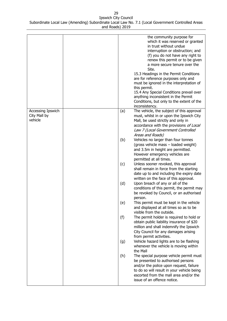|                                              |     | the community purpose for<br>which it was reserved or granted<br>in trust without undue<br>interruption or obstruction; and<br>(f) you do not have any right to<br>renew this permit or to be given<br>a more secure tenure over the<br>Site.<br>15.3 Headings in the Permit Conditions<br>are for reference purposes only and<br>must be ignored in the interpretation of<br>this permit.<br>15.4 Any Special Conditions prevail over<br>anything inconsistent in the Permit<br>Conditions, but only to the extent of the<br>inconsistency. |
|----------------------------------------------|-----|----------------------------------------------------------------------------------------------------------------------------------------------------------------------------------------------------------------------------------------------------------------------------------------------------------------------------------------------------------------------------------------------------------------------------------------------------------------------------------------------------------------------------------------------|
| Accessing Ipswich<br>City Mall by<br>vehicle | (a) | The vehicle, the subject of this approval<br>must, whilst in or upon the Ipswich City<br>Mall, be used strictly and only in<br>accordance with the provisions of Local<br>Law 7 (Local Government Controlled<br>Areas and Roads)                                                                                                                                                                                                                                                                                                             |
|                                              | (b) | Vehicles no larger than four tonnes<br>(gross vehicle mass - loaded weight)<br>and 3.5m in height are permitted.<br>However emergency vehicles are<br>permitted at all times.                                                                                                                                                                                                                                                                                                                                                                |
|                                              | (c) | Unless sooner revoked, this approval<br>shall remain in force from the starting<br>date up to and including the expiry date<br>written on the face of this approval.                                                                                                                                                                                                                                                                                                                                                                         |
|                                              | (d) | Upon breach of any or all of the<br>conditions of this permit, the permit may<br>be revoked by Council, or an authorised<br>person.                                                                                                                                                                                                                                                                                                                                                                                                          |
|                                              | (e) | This permit must be kept in the vehicle<br>and displayed at all times so as to be<br>visible from the outside.                                                                                                                                                                                                                                                                                                                                                                                                                               |
|                                              | (f) | The permit holder is required to hold or<br>obtain public liability insurance of \$20<br>million and shall indemnify the Ipswich<br>City Council for any damages arising<br>from permit activities.                                                                                                                                                                                                                                                                                                                                          |
|                                              | (g) | Vehicle hazard lights are to be flashing<br>whenever the vehicle is moving within<br>the Mall                                                                                                                                                                                                                                                                                                                                                                                                                                                |
|                                              | (h) | The special purpose vehicle permit must<br>be presented to authorised persons<br>and/or the police upon request, failure<br>to do so will result in your vehicle being<br>escorted from the mall area and/or the<br>issue of an offence notice.                                                                                                                                                                                                                                                                                              |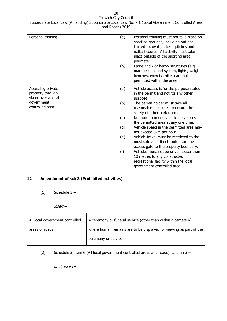| Personal training                      | (a)<br>(b) | Personal training must not take place on<br>sporting grounds, including but not<br>limited to, ovals, cricket pitches and<br>netball courts. All activity must take<br>place outside of the sporting area<br>perimeter.<br>Large and / or heavy structures (e.g.<br>marquees, sound system, lights, weight<br>benches, exercise bikes) are not<br>permitted within the area. |
|----------------------------------------|------------|------------------------------------------------------------------------------------------------------------------------------------------------------------------------------------------------------------------------------------------------------------------------------------------------------------------------------------------------------------------------------|
| Accessing private<br>property through, | (a)        | Vehicle access is for the purpose stated<br>in the permit and not for any other                                                                                                                                                                                                                                                                                              |
| via or over a local                    |            | purpose.                                                                                                                                                                                                                                                                                                                                                                     |
| government                             | (b)        | The permit holder must take all                                                                                                                                                                                                                                                                                                                                              |
| controlled area                        |            | reasonable measures to ensure the<br>safety of other park users.                                                                                                                                                                                                                                                                                                             |
|                                        | (c)        | No more than one vehicle may access<br>the permitted area at any one time.                                                                                                                                                                                                                                                                                                   |
|                                        | (d)        | Vehicle speed in the permitted area may<br>not exceed 5km per hour.                                                                                                                                                                                                                                                                                                          |
|                                        | (e)        | Vehicle travel must be restricted to the<br>most safe and direct route from the<br>access gate to the property boundary.                                                                                                                                                                                                                                                     |
|                                        | (f)        | Vehicles must not be driven closer than<br>10 metres to any constructed<br>recreational facility within the local<br>government controlled area.                                                                                                                                                                                                                             |

# <span id="page-29-0"></span>**12 Amendment of sch 3 (Prohibited activities)**

- $(1)$  Schedule 3
	- insert –

| All local government controlled | A ceremony or funeral service (other than within a cemetery),      |
|---------------------------------|--------------------------------------------------------------------|
| areas or roads                  | where human remains are to be displayed for viewing as part of the |
|                                 | ceremony or service.                                               |

(2) Schedule 3, item 6 (All local government controlled areas and roads), column 3 –

omit, insert –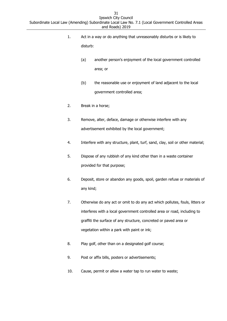- 1. Act in a way or do anything that unreasonably disturbs or is likely to disturb:
	- (a) another person's enjoyment of the local government controlled area; or
	- (b) the reasonable use or enjoyment of land adjacent to the local government controlled area;
- 2. Break in a horse;
- 3. Remove, alter, deface, damage or otherwise interfere with any advertisement exhibited by the local government;
- 4. Interfere with any structure, plant, turf, sand, clay, soil or other material;
- 5. Dispose of any rubbish of any kind other than in a waste container provided for that purpose;
- 6. Deposit, store or abandon any goods, spoil, garden refuse or materials of any kind;
- 7. Otherwise do any act or omit to do any act which pollutes, fouls, litters or interferes with a local government controlled area or road, including to graffiti the surface of any structure, concreted or paved area or vegetation within a park with paint or ink;
- 8. Play golf, other than on a designated golf course;
- 9. Post or affix bills, posters or advertisements;
- 10. Cause, permit or allow a water tap to run water to waste;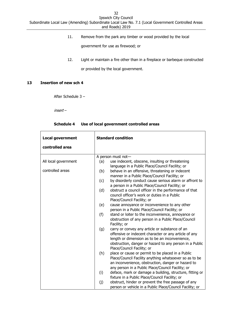11. Remove from the park any timber or wood provided by the local

government for use as firewood; or

12. Light or maintain a fire other than in a fireplace or barbeque constructed or provided by the local government.

## <span id="page-31-0"></span>**13 Insertion of new sch 4**

After Schedule 3 –

insert –

#### **Schedule 4 Use of local government controlled areas**

| <b>Local government</b> | <b>Standard condition</b>                                                                                                                                                                                                                                 |  |
|-------------------------|-----------------------------------------------------------------------------------------------------------------------------------------------------------------------------------------------------------------------------------------------------------|--|
| controlled area         |                                                                                                                                                                                                                                                           |  |
|                         | A person must not-                                                                                                                                                                                                                                        |  |
| All local government    | use indecent, obscene, insulting or threatening<br>(a)<br>language in a Public Place/Council Facility; or                                                                                                                                                 |  |
| controlled areas        | behave in an offensive, threatening or indecent<br>(b)<br>manner in a Public Place/Council Facility; or                                                                                                                                                   |  |
|                         | by disorderly conduct cause serious alarm or affront to<br>(c)<br>a person in a Public Place/Council Facility; or                                                                                                                                         |  |
|                         | (d)<br>obstruct a council officer in the performance of that<br>council officer's work or duties in a Public<br>Place/Council Facility; or                                                                                                                |  |
|                         | cause annoyance or inconvenience to any other<br>(e)<br>person in a Public Place/Council Facility; or                                                                                                                                                     |  |
|                         | (f)<br>stand or loiter to the inconvenience, annoyance or<br>obstruction of any person in a Public Place/Council<br>Facility; or                                                                                                                          |  |
|                         | carry or convey any article or substance of an<br>(g)<br>offensive or indecent character or any article of any<br>length or dimension as to be an inconvenience,<br>obstruction, danger or hazard to any person in a Public<br>Place/Council Facility; or |  |
|                         | place or cause or permit to be placed in a Public<br>(h)<br>Place/Council Facility anything whatsoever so as to be<br>an inconvenience, obstruction, danger or hazard to<br>any person in a Public Place/Council Facility; or                             |  |
|                         | deface, mark or damage a building, structure, fitting or<br>(i)<br>fixture in a Public Place/Council Facility; or                                                                                                                                         |  |
|                         | obstruct, hinder or prevent the free passage of any<br>(j)<br>person or vehicle in a Public Place/Council Facility; or                                                                                                                                    |  |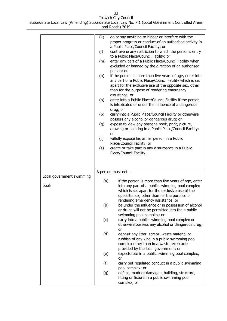33 Ipswich City Council

| .                                                                                                 |
|---------------------------------------------------------------------------------------------------|
| Subordinate Local Law (Amending) Subordinate Local Law No. 7.1 (Local Government Controlled Areas |
| and Roads) 2019                                                                                   |

|                           | (k) | do or say anything to hinder or interfere with the<br>proper progress or conduct of an authorised activity in<br>a Public Place/Council Facility; or                                                                                            |
|---------------------------|-----|-------------------------------------------------------------------------------------------------------------------------------------------------------------------------------------------------------------------------------------------------|
|                           | (1) | contravene any restriction to which the person's entry<br>to a Public Place/Council Facility; or                                                                                                                                                |
|                           | (m) | enter any part of a Public Place/Council Facility when<br>excluded or banned by the direction of an authorised                                                                                                                                  |
|                           |     | person; or                                                                                                                                                                                                                                      |
|                           | (n) | if the person is more than five years of age, enter into<br>any part of a Public Place/Council Facility which is set<br>apart for the exclusive use of the opposite sex, other<br>than for the purpose of rendering emergency<br>assistance; or |
|                           | (0) | enter into a Public Place/Council Facility if the person<br>is intoxicated or under the influence of a dangerous<br>drug; or                                                                                                                    |
|                           | (p) | carry into a Public Place/Council Facility or otherwise                                                                                                                                                                                         |
|                           | (q) | possess any alcohol or dangerous drug; or<br>expose to view any obscene book, print, picture,<br>drawing or painting in a Public Place/Council Facility;<br>or                                                                                  |
|                           | (r) | wilfully expose his or her person in a Public                                                                                                                                                                                                   |
|                           | (s) | Place/Council Facility; or<br>create or take part in any disturbance in a Public                                                                                                                                                                |
|                           |     | Place/Council Facility.                                                                                                                                                                                                                         |
|                           |     |                                                                                                                                                                                                                                                 |
|                           |     |                                                                                                                                                                                                                                                 |
|                           |     | A person must not-                                                                                                                                                                                                                              |
| Local government swimming | (a) | if the person is more than five years of age, enter                                                                                                                                                                                             |
| pools                     |     | into any part of a public swimming pool complex                                                                                                                                                                                                 |
|                           |     | which is set apart for the exclusive use of the                                                                                                                                                                                                 |
|                           |     | opposite sex, other than for the purpose of                                                                                                                                                                                                     |
|                           | (b) | rendering emergency assistance; or<br>be under the influence or in possession of alcohol                                                                                                                                                        |
|                           |     | or drugs will not be permitted into the a public                                                                                                                                                                                                |
|                           |     | swimming pool complex; or                                                                                                                                                                                                                       |
|                           | (c) | carry into a public swimming pool complex or                                                                                                                                                                                                    |
|                           |     | otherwise possess any alcohol or dangerous drug;<br>or                                                                                                                                                                                          |
|                           | (d) | deposit any litter, scraps, waste material or<br>rubbish of any kind in a public swimming pool                                                                                                                                                  |
|                           |     | complex other than in a waste receptacle                                                                                                                                                                                                        |
|                           |     | provided by the local government; or                                                                                                                                                                                                            |
|                           | (e) | expectorate in a public swimming pool complex;<br>or                                                                                                                                                                                            |
|                           | (f) | carry out regulated conduct in a public swimming<br>pool complex; or                                                                                                                                                                            |
|                           | (g) | deface, mark or damage a building, structure,                                                                                                                                                                                                   |
|                           |     |                                                                                                                                                                                                                                                 |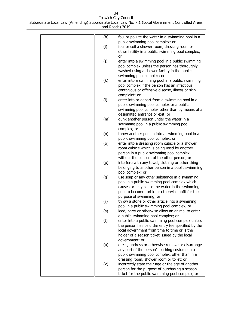| (h)<br>foul or pollute the water in a swimming pool in a<br>public swimming pool complex; or<br>(i)<br>foul or soil a shower room, dressing room or<br>other facility in a public swimming pool complex;<br>or<br>(j)<br>enter into a swimming pool in a public swimming<br>pool complex unless the person has thoroughly<br>washed using a shower facility in the public<br>swimming pool complex; or<br>(k)<br>enter into a swimming pool in a public swimming<br>pool complex if the person has an infectious,<br>contagious or offensive disease, illness or skin<br>complaint; or<br>(1)<br>enter into or depart from a swimming pool in a<br>public swimming pool complex or a public<br>swimming pool complex other than by means of a<br>designated entrance or exit; or<br>dunk another person under the water in a<br>(m)<br>swimming pool in a public swimming pool<br>complex; or<br>(n)<br>throw another person into a swimming pool in a<br>public swimming pool complex; or<br>(0)<br>enter into a dressing room cubicle or a shower<br>room cubicle which is being used by another<br>person in a public swimming pool complex<br>without the consent of the other person; or |
|-----------------------------------------------------------------------------------------------------------------------------------------------------------------------------------------------------------------------------------------------------------------------------------------------------------------------------------------------------------------------------------------------------------------------------------------------------------------------------------------------------------------------------------------------------------------------------------------------------------------------------------------------------------------------------------------------------------------------------------------------------------------------------------------------------------------------------------------------------------------------------------------------------------------------------------------------------------------------------------------------------------------------------------------------------------------------------------------------------------------------------------------------------------------------------------------------|
|                                                                                                                                                                                                                                                                                                                                                                                                                                                                                                                                                                                                                                                                                                                                                                                                                                                                                                                                                                                                                                                                                                                                                                                               |
|                                                                                                                                                                                                                                                                                                                                                                                                                                                                                                                                                                                                                                                                                                                                                                                                                                                                                                                                                                                                                                                                                                                                                                                               |
|                                                                                                                                                                                                                                                                                                                                                                                                                                                                                                                                                                                                                                                                                                                                                                                                                                                                                                                                                                                                                                                                                                                                                                                               |
|                                                                                                                                                                                                                                                                                                                                                                                                                                                                                                                                                                                                                                                                                                                                                                                                                                                                                                                                                                                                                                                                                                                                                                                               |
|                                                                                                                                                                                                                                                                                                                                                                                                                                                                                                                                                                                                                                                                                                                                                                                                                                                                                                                                                                                                                                                                                                                                                                                               |
|                                                                                                                                                                                                                                                                                                                                                                                                                                                                                                                                                                                                                                                                                                                                                                                                                                                                                                                                                                                                                                                                                                                                                                                               |
|                                                                                                                                                                                                                                                                                                                                                                                                                                                                                                                                                                                                                                                                                                                                                                                                                                                                                                                                                                                                                                                                                                                                                                                               |
|                                                                                                                                                                                                                                                                                                                                                                                                                                                                                                                                                                                                                                                                                                                                                                                                                                                                                                                                                                                                                                                                                                                                                                                               |
|                                                                                                                                                                                                                                                                                                                                                                                                                                                                                                                                                                                                                                                                                                                                                                                                                                                                                                                                                                                                                                                                                                                                                                                               |
|                                                                                                                                                                                                                                                                                                                                                                                                                                                                                                                                                                                                                                                                                                                                                                                                                                                                                                                                                                                                                                                                                                                                                                                               |
|                                                                                                                                                                                                                                                                                                                                                                                                                                                                                                                                                                                                                                                                                                                                                                                                                                                                                                                                                                                                                                                                                                                                                                                               |
|                                                                                                                                                                                                                                                                                                                                                                                                                                                                                                                                                                                                                                                                                                                                                                                                                                                                                                                                                                                                                                                                                                                                                                                               |
|                                                                                                                                                                                                                                                                                                                                                                                                                                                                                                                                                                                                                                                                                                                                                                                                                                                                                                                                                                                                                                                                                                                                                                                               |
|                                                                                                                                                                                                                                                                                                                                                                                                                                                                                                                                                                                                                                                                                                                                                                                                                                                                                                                                                                                                                                                                                                                                                                                               |
|                                                                                                                                                                                                                                                                                                                                                                                                                                                                                                                                                                                                                                                                                                                                                                                                                                                                                                                                                                                                                                                                                                                                                                                               |
|                                                                                                                                                                                                                                                                                                                                                                                                                                                                                                                                                                                                                                                                                                                                                                                                                                                                                                                                                                                                                                                                                                                                                                                               |
|                                                                                                                                                                                                                                                                                                                                                                                                                                                                                                                                                                                                                                                                                                                                                                                                                                                                                                                                                                                                                                                                                                                                                                                               |
|                                                                                                                                                                                                                                                                                                                                                                                                                                                                                                                                                                                                                                                                                                                                                                                                                                                                                                                                                                                                                                                                                                                                                                                               |
|                                                                                                                                                                                                                                                                                                                                                                                                                                                                                                                                                                                                                                                                                                                                                                                                                                                                                                                                                                                                                                                                                                                                                                                               |
|                                                                                                                                                                                                                                                                                                                                                                                                                                                                                                                                                                                                                                                                                                                                                                                                                                                                                                                                                                                                                                                                                                                                                                                               |
|                                                                                                                                                                                                                                                                                                                                                                                                                                                                                                                                                                                                                                                                                                                                                                                                                                                                                                                                                                                                                                                                                                                                                                                               |
|                                                                                                                                                                                                                                                                                                                                                                                                                                                                                                                                                                                                                                                                                                                                                                                                                                                                                                                                                                                                                                                                                                                                                                                               |
|                                                                                                                                                                                                                                                                                                                                                                                                                                                                                                                                                                                                                                                                                                                                                                                                                                                                                                                                                                                                                                                                                                                                                                                               |
|                                                                                                                                                                                                                                                                                                                                                                                                                                                                                                                                                                                                                                                                                                                                                                                                                                                                                                                                                                                                                                                                                                                                                                                               |
|                                                                                                                                                                                                                                                                                                                                                                                                                                                                                                                                                                                                                                                                                                                                                                                                                                                                                                                                                                                                                                                                                                                                                                                               |
| interfere with any towel, clothing or other thing                                                                                                                                                                                                                                                                                                                                                                                                                                                                                                                                                                                                                                                                                                                                                                                                                                                                                                                                                                                                                                                                                                                                             |
| (p)<br>belonging to another person in a public swimming                                                                                                                                                                                                                                                                                                                                                                                                                                                                                                                                                                                                                                                                                                                                                                                                                                                                                                                                                                                                                                                                                                                                       |
| pool complex; or                                                                                                                                                                                                                                                                                                                                                                                                                                                                                                                                                                                                                                                                                                                                                                                                                                                                                                                                                                                                                                                                                                                                                                              |
| (q)<br>use soap or any other substance in a swimming                                                                                                                                                                                                                                                                                                                                                                                                                                                                                                                                                                                                                                                                                                                                                                                                                                                                                                                                                                                                                                                                                                                                          |
| pool in a public swimming pool complex which                                                                                                                                                                                                                                                                                                                                                                                                                                                                                                                                                                                                                                                                                                                                                                                                                                                                                                                                                                                                                                                                                                                                                  |
| causes or may cause the water in the swimming                                                                                                                                                                                                                                                                                                                                                                                                                                                                                                                                                                                                                                                                                                                                                                                                                                                                                                                                                                                                                                                                                                                                                 |
| pool to become turbid or otherwise unfit for the                                                                                                                                                                                                                                                                                                                                                                                                                                                                                                                                                                                                                                                                                                                                                                                                                                                                                                                                                                                                                                                                                                                                              |
| purpose of swimming; or                                                                                                                                                                                                                                                                                                                                                                                                                                                                                                                                                                                                                                                                                                                                                                                                                                                                                                                                                                                                                                                                                                                                                                       |
| throw a stone or other article into a swimming<br>(r)                                                                                                                                                                                                                                                                                                                                                                                                                                                                                                                                                                                                                                                                                                                                                                                                                                                                                                                                                                                                                                                                                                                                         |
| pool in a public swimming pool complex; or                                                                                                                                                                                                                                                                                                                                                                                                                                                                                                                                                                                                                                                                                                                                                                                                                                                                                                                                                                                                                                                                                                                                                    |
| lead, carry or otherwise allow an animal to enter<br>(s)                                                                                                                                                                                                                                                                                                                                                                                                                                                                                                                                                                                                                                                                                                                                                                                                                                                                                                                                                                                                                                                                                                                                      |
| a public swimming pool complex; or                                                                                                                                                                                                                                                                                                                                                                                                                                                                                                                                                                                                                                                                                                                                                                                                                                                                                                                                                                                                                                                                                                                                                            |
| enter into a public swimming pool complex unless<br>(t)                                                                                                                                                                                                                                                                                                                                                                                                                                                                                                                                                                                                                                                                                                                                                                                                                                                                                                                                                                                                                                                                                                                                       |
| the person has paid the entry fee specified by the                                                                                                                                                                                                                                                                                                                                                                                                                                                                                                                                                                                                                                                                                                                                                                                                                                                                                                                                                                                                                                                                                                                                            |
| local government from time to time or is the                                                                                                                                                                                                                                                                                                                                                                                                                                                                                                                                                                                                                                                                                                                                                                                                                                                                                                                                                                                                                                                                                                                                                  |
| holder of a season ticket issued by the local                                                                                                                                                                                                                                                                                                                                                                                                                                                                                                                                                                                                                                                                                                                                                                                                                                                                                                                                                                                                                                                                                                                                                 |
| government; or                                                                                                                                                                                                                                                                                                                                                                                                                                                                                                                                                                                                                                                                                                                                                                                                                                                                                                                                                                                                                                                                                                                                                                                |
| (u)<br>dress, undress or otherwise remove or disarrange                                                                                                                                                                                                                                                                                                                                                                                                                                                                                                                                                                                                                                                                                                                                                                                                                                                                                                                                                                                                                                                                                                                                       |
| any part of the person's bathing costume in a                                                                                                                                                                                                                                                                                                                                                                                                                                                                                                                                                                                                                                                                                                                                                                                                                                                                                                                                                                                                                                                                                                                                                 |
| public swimming pool complex, other than in a                                                                                                                                                                                                                                                                                                                                                                                                                                                                                                                                                                                                                                                                                                                                                                                                                                                                                                                                                                                                                                                                                                                                                 |
| dressing room, shower room or toilet; or                                                                                                                                                                                                                                                                                                                                                                                                                                                                                                                                                                                                                                                                                                                                                                                                                                                                                                                                                                                                                                                                                                                                                      |
| (v)<br>incorrectly state their age or the age of another                                                                                                                                                                                                                                                                                                                                                                                                                                                                                                                                                                                                                                                                                                                                                                                                                                                                                                                                                                                                                                                                                                                                      |
| person for the purpose of purchasing a season                                                                                                                                                                                                                                                                                                                                                                                                                                                                                                                                                                                                                                                                                                                                                                                                                                                                                                                                                                                                                                                                                                                                                 |
| ticket for the public swimming pool complex; or                                                                                                                                                                                                                                                                                                                                                                                                                                                                                                                                                                                                                                                                                                                                                                                                                                                                                                                                                                                                                                                                                                                                               |